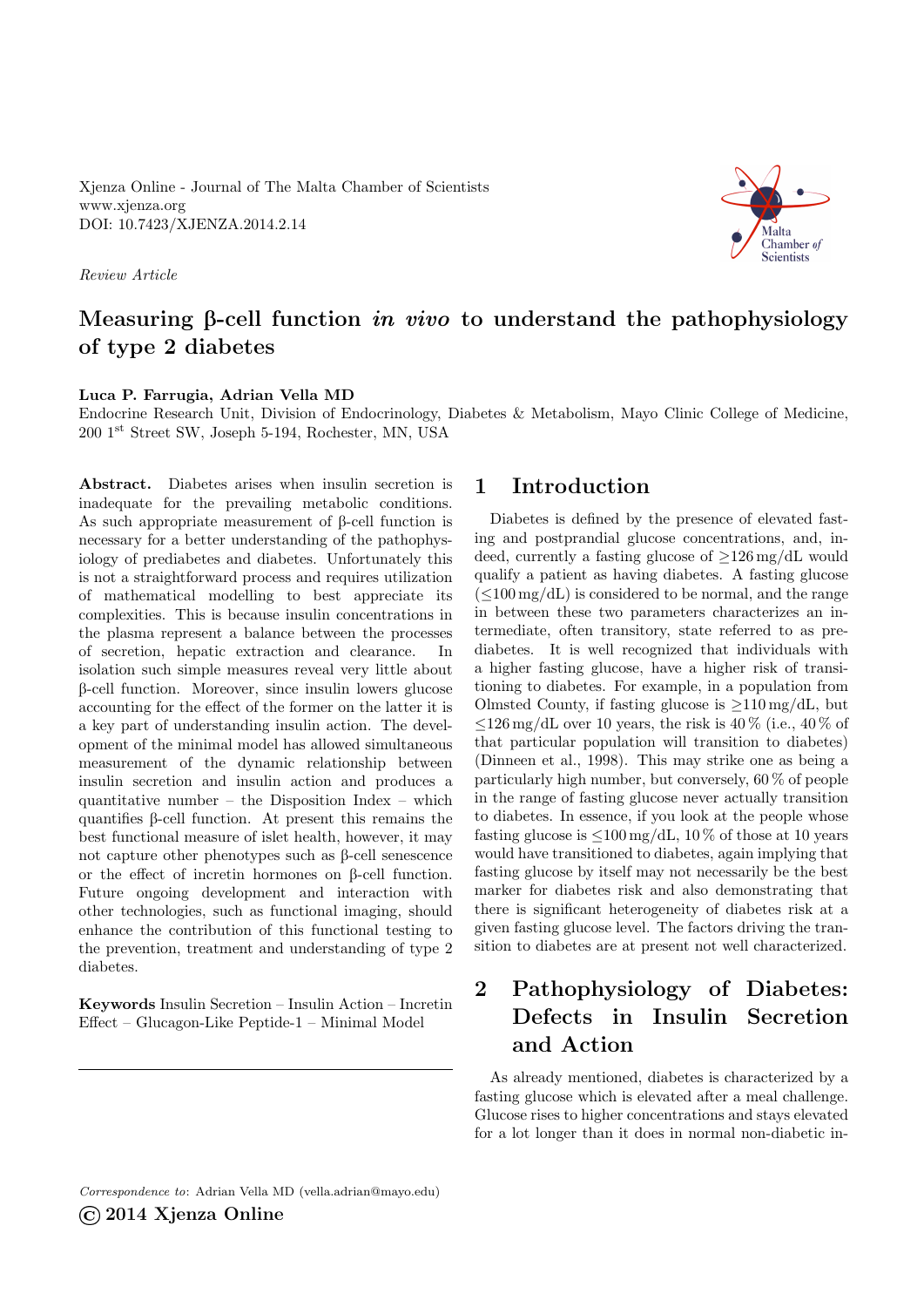Xjenza Online - Journal of The Malta Chamber of Scientists <www.xjenza.org> DOI:<10.7423/XJENZA.2014.2.14>

Review Article



## Measuring  $\beta$ -cell function *in vivo* to understand the pathophysiology of type 2 diabetes

#### Luca P. Farrugia, Adrian Vella MD

Endocrine Research Unit, Division of Endocrinology, Diabetes & Metabolism, Mayo Clinic College of Medicine, 200 1st Street SW, Joseph 5-194, Rochester, MN, USA

Abstract. Diabetes arises when insulin secretion is inadequate for the prevailing metabolic conditions. As such appropriate measurement of  $\beta$ -cell function is necessary for a better understanding of the pathophysiology of prediabetes and diabetes. Unfortunately this is not a straightforward process and requires utilization of mathematical modelling to best appreciate its complexities. This is because insulin concentrations in the plasma represent a balance between the processes of secretion, hepatic extraction and clearance. In isolation such simple measures reveal very little about B-cell function. Moreover, since insulin lowers glucose accounting for the effect of the former on the latter it is a key part of understanding insulin action. The development of the minimal model has allowed simultaneous measurement of the dynamic relationship between insulin secretion and insulin action and produces a quantitative number – the Disposition Index – which quantifies B-cell function. At present this remains the best functional measure of islet health, however, it may not capture other phenotypes such as  $\beta$ -cell senescence or the effect of incretin hormones on  $\beta$ -cell function. Future ongoing development and interaction with other technologies, such as functional imaging, should enhance the contribution of this functional testing to the prevention, treatment and understanding of type 2 diabetes.

Keywords Insulin Secretion – Insulin Action – Incretin Effect – Glucagon-Like Peptide-1 – Minimal Model

### 1 Introduction

Diabetes is defined by the presence of elevated fasting and postprandial glucose concentrations, and, indeed, currently a fasting glucose of ≥126 mg/dL would qualify a patient as having diabetes. A fasting glucose  $(<100 \,\mathrm{mg/dL})$  is considered to be normal, and the range in between these two parameters characterizes an intermediate, often transitory, state referred to as prediabetes. It is well recognized that individuals with a higher fasting glucose, have a higher risk of transitioning to diabetes. For example, in a population from Olmsted County, if fasting glucose is  $\geq 110$  mg/dL, but  $\leq 126 \,\mathrm{mg/dL}$  over 10 years, the risk is 40 % (i.e., 40 % of that particular population will transition to diabetes) (Dinneen et al., [1998\)](#page-5-0). This may strike one as being a particularly high number, but conversely, 60 % of people in the range of fasting glucose never actually transition to diabetes. In essence, if you look at the people whose fasting glucose is  $\leq 100 \,\mathrm{mg/dL}$ , 10 % of those at 10 years would have transitioned to diabetes, again implying that fasting glucose by itself may not necessarily be the best marker for diabetes risk and also demonstrating that there is significant heterogeneity of diabetes risk at a given fasting glucose level. The factors driving the transition to diabetes are at present not well characterized.

# 2 Pathophysiology of Diabetes: Defects in Insulin Secretion and Action

As already mentioned, diabetes is characterized by a fasting glucose which is elevated after a meal challenge. Glucose rises to higher concentrations and stays elevated for a lot longer than it does in normal non-diabetic in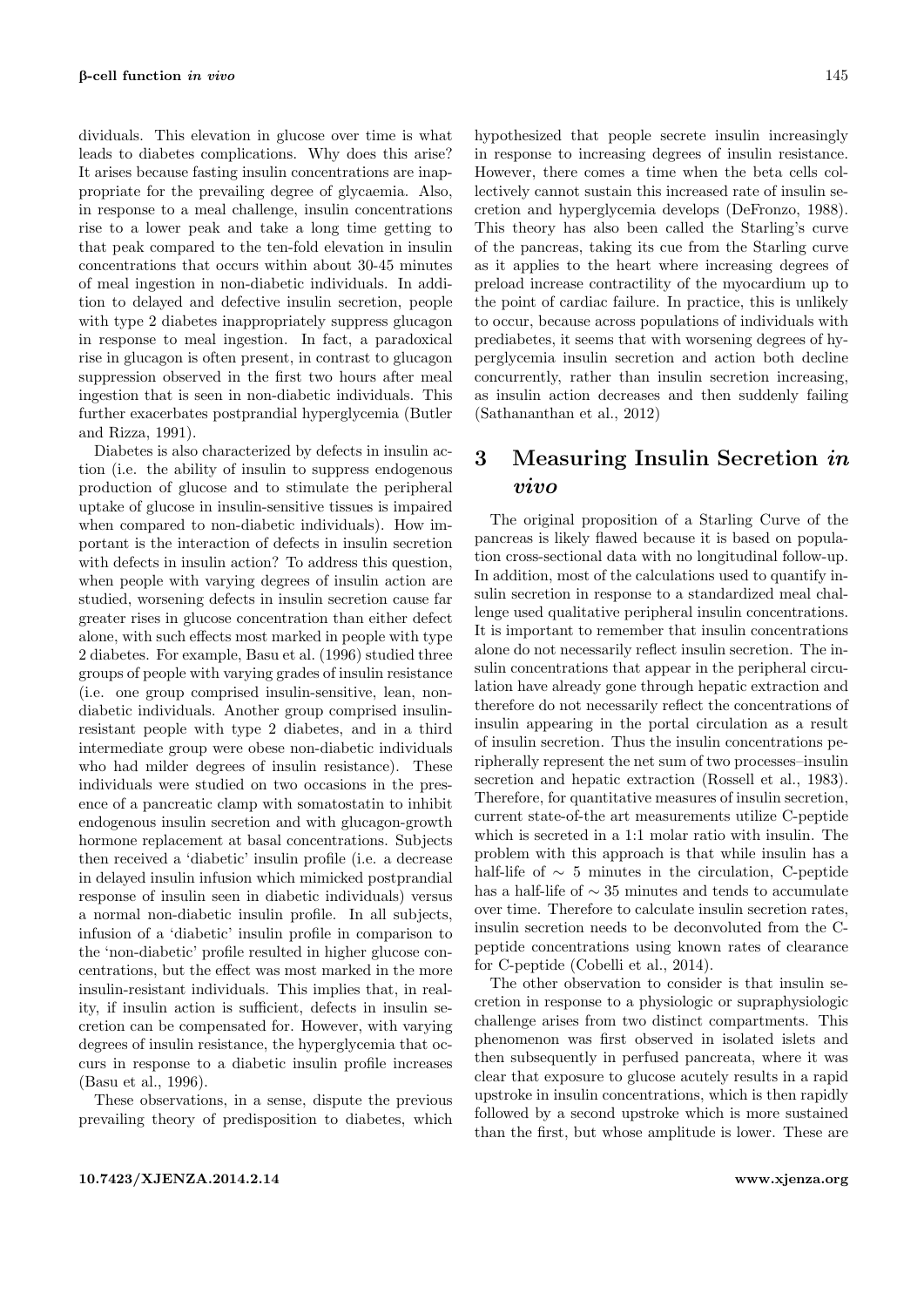dividuals. This elevation in glucose over time is what leads to diabetes complications. Why does this arise? It arises because fasting insulin concentrations are inappropriate for the prevailing degree of glycaemia. Also, in response to a meal challenge, insulin concentrations rise to a lower peak and take a long time getting to that peak compared to the ten-fold elevation in insulin concentrations that occurs within about 30-45 minutes of meal ingestion in non-diabetic individuals. In addition to delayed and defective insulin secretion, people with type 2 diabetes inappropriately suppress glucagon in response to meal ingestion. In fact, a paradoxical rise in glucagon is often present, in contrast to glucagon suppression observed in the first two hours after meal ingestion that is seen in non-diabetic individuals. This further exacerbates postprandial hyperglycemia (Butler and Rizza, [1991\)](#page-5-1).

Diabetes is also characterized by defects in insulin action (i.e. the ability of insulin to suppress endogenous production of glucose and to stimulate the peripheral uptake of glucose in insulin-sensitive tissues is impaired when compared to non-diabetic individuals). How important is the interaction of defects in insulin secretion with defects in insulin action? To address this question, when people with varying degrees of insulin action are studied, worsening defects in insulin secretion cause far greater rises in glucose concentration than either defect alone, with such effects most marked in people with type 2 diabetes. For example, Basu et al. [\(1996\)](#page-5-2) studied three groups of people with varying grades of insulin resistance (i.e. one group comprised insulin-sensitive, lean, nondiabetic individuals. Another group comprised insulinresistant people with type 2 diabetes, and in a third intermediate group were obese non-diabetic individuals who had milder degrees of insulin resistance). These individuals were studied on two occasions in the presence of a pancreatic clamp with somatostatin to inhibit endogenous insulin secretion and with glucagon-growth hormone replacement at basal concentrations. Subjects then received a 'diabetic' insulin profile (i.e. a decrease in delayed insulin infusion which mimicked postprandial response of insulin seen in diabetic individuals) versus a normal non-diabetic insulin profile. In all subjects, infusion of a 'diabetic' insulin profile in comparison to the 'non-diabetic' profile resulted in higher glucose concentrations, but the effect was most marked in the more insulin-resistant individuals. This implies that, in reality, if insulin action is sufficient, defects in insulin secretion can be compensated for. However, with varying degrees of insulin resistance, the hyperglycemia that occurs in response to a diabetic insulin profile increases (Basu et al., [1996\)](#page-5-2).

These observations, in a sense, dispute the previous prevailing theory of predisposition to diabetes, which hypothesized that people secrete insulin increasingly in response to increasing degrees of insulin resistance. However, there comes a time when the beta cells collectively cannot sustain this increased rate of insulin secretion and hyperglycemia develops (DeFronzo, [1988\)](#page-5-3). This theory has also been called the Starling's curve of the pancreas, taking its cue from the Starling curve as it applies to the heart where increasing degrees of preload increase contractility of the myocardium up to the point of cardiac failure. In practice, this is unlikely to occur, because across populations of individuals with prediabetes, it seems that with worsening degrees of hyperglycemia insulin secretion and action both decline concurrently, rather than insulin secretion increasing, as insulin action decreases and then suddenly failing (Sathananthan et al., [2012\)](#page-6-0)

## 3 Measuring Insulin Secretion in vivo

The original proposition of a Starling Curve of the pancreas is likely flawed because it is based on population cross-sectional data with no longitudinal follow-up. In addition, most of the calculations used to quantify insulin secretion in response to a standardized meal challenge used qualitative peripheral insulin concentrations. It is important to remember that insulin concentrations alone do not necessarily reflect insulin secretion. The insulin concentrations that appear in the peripheral circulation have already gone through hepatic extraction and therefore do not necessarily reflect the concentrations of insulin appearing in the portal circulation as a result of insulin secretion. Thus the insulin concentrations peripherally represent the net sum of two processes–insulin secretion and hepatic extraction (Rossell et al., [1983\)](#page-5-4). Therefore, for quantitative measures of insulin secretion, current state-of-the art measurements utilize C-peptide which is secreted in a 1:1 molar ratio with insulin. The problem with this approach is that while insulin has a half-life of  $\sim 5$  minutes in the circulation, C-peptide has a half-life of  $\sim 35$  minutes and tends to accumulate over time. Therefore to calculate insulin secretion rates, insulin secretion needs to be deconvoluted from the Cpeptide concentrations using known rates of clearance for C-peptide (Cobelli et al., [2014\)](#page-5-5).

The other observation to consider is that insulin secretion in response to a physiologic or supraphysiologic challenge arises from two distinct compartments. This phenomenon was first observed in isolated islets and then subsequently in perfused pancreata, where it was clear that exposure to glucose acutely results in a rapid upstroke in insulin concentrations, which is then rapidly followed by a second upstroke which is more sustained than the first, but whose amplitude is lower. These are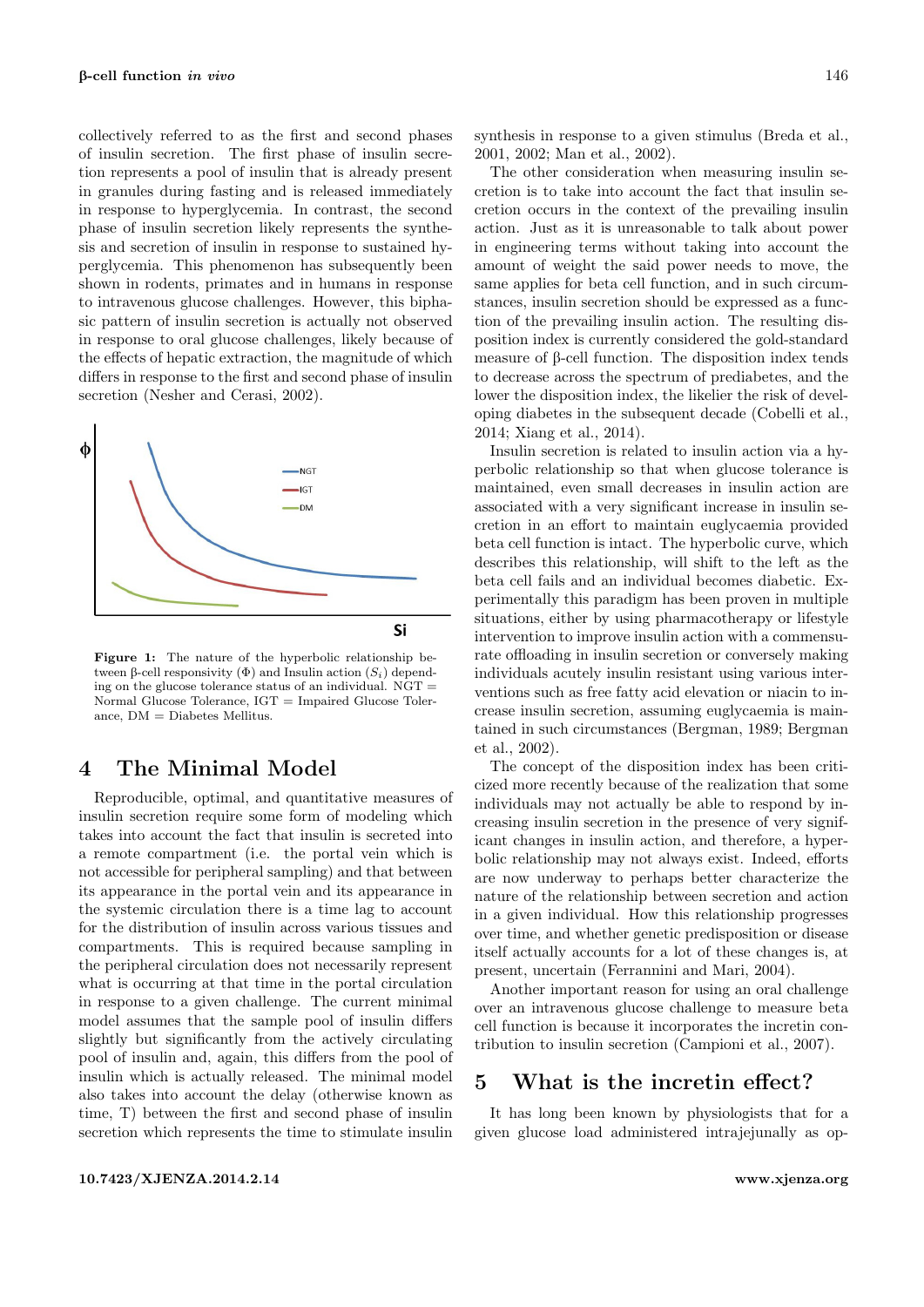collectively referred to as the first and second phases of insulin secretion. The first phase of insulin secretion represents a pool of insulin that is already present in granules during fasting and is released immediately in response to hyperglycemia. In contrast, the second phase of insulin secretion likely represents the synthesis and secretion of insulin in response to sustained hyperglycemia. This phenomenon has subsequently been shown in rodents, primates and in humans in response to intravenous glucose challenges. However, this biphasic pattern of insulin secretion is actually not observed in response to oral glucose challenges, likely because of the effects of hepatic extraction, the magnitude of which differs in response to the first and second phase of insulin secretion (Nesher and Cerasi, [2002\)](#page-5-6).



Figure 1: The nature of the hyperbolic relationship between β-cell responsivity (Φ) and Insulin action  $(S_i)$  depending on the glucose tolerance status of an individual. NGT = Normal Glucose Tolerance, IGT = Impaired Glucose Tolerance, DM = Diabetes Mellitus.

### 4 The Minimal Model

Reproducible, optimal, and quantitative measures of insulin secretion require some form of modeling which takes into account the fact that insulin is secreted into a remote compartment (i.e. the portal vein which is not accessible for peripheral sampling) and that between its appearance in the portal vein and its appearance in the systemic circulation there is a time lag to account for the distribution of insulin across various tissues and compartments. This is required because sampling in the peripheral circulation does not necessarily represent what is occurring at that time in the portal circulation in response to a given challenge. The current minimal model assumes that the sample pool of insulin differs slightly but significantly from the actively circulating pool of insulin and, again, this differs from the pool of insulin which is actually released. The minimal model also takes into account the delay (otherwise known as time, T) between the first and second phase of insulin secretion which represents the time to stimulate insulin

synthesis in response to a given stimulus (Breda et al., [2001,](#page-5-7) [2002;](#page-5-8) Man et al., [2002\)](#page-5-9).

The other consideration when measuring insulin secretion is to take into account the fact that insulin secretion occurs in the context of the prevailing insulin action. Just as it is unreasonable to talk about power in engineering terms without taking into account the amount of weight the said power needs to move, the same applies for beta cell function, and in such circumstances, insulin secretion should be expressed as a function of the prevailing insulin action. The resulting disposition index is currently considered the gold-standard measure of  $\beta$ -cell function. The disposition index tends to decrease across the spectrum of prediabetes, and the lower the disposition index, the likelier the risk of developing diabetes in the subsequent decade (Cobelli et al., [2014;](#page-5-5) Xiang et al., [2014\)](#page-6-1).

Insulin secretion is related to insulin action via a hyperbolic relationship so that when glucose tolerance is maintained, even small decreases in insulin action are associated with a very significant increase in insulin secretion in an effort to maintain euglycaemia provided beta cell function is intact. The hyperbolic curve, which describes this relationship, will shift to the left as the beta cell fails and an individual becomes diabetic. Experimentally this paradigm has been proven in multiple situations, either by using pharmacotherapy or lifestyle intervention to improve insulin action with a commensurate offloading in insulin secretion or conversely making individuals acutely insulin resistant using various interventions such as free fatty acid elevation or niacin to increase insulin secretion, assuming euglycaemia is maintained in such circumstances (Bergman, [1989;](#page-5-10) Bergman et al., [2002\)](#page-5-11).

The concept of the disposition index has been criticized more recently because of the realization that some individuals may not actually be able to respond by increasing insulin secretion in the presence of very significant changes in insulin action, and therefore, a hyperbolic relationship may not always exist. Indeed, efforts are now underway to perhaps better characterize the nature of the relationship between secretion and action in a given individual. How this relationship progresses over time, and whether genetic predisposition or disease itself actually accounts for a lot of these changes is, at present, uncertain (Ferrannini and Mari, [2004\)](#page-5-12).

Another important reason for using an oral challenge over an intravenous glucose challenge to measure beta cell function is because it incorporates the incretin contribution to insulin secretion (Campioni et al., [2007\)](#page-5-13).

### 5 What is the incretin effect?

It has long been known by physiologists that for a given glucose load administered intrajejunally as op-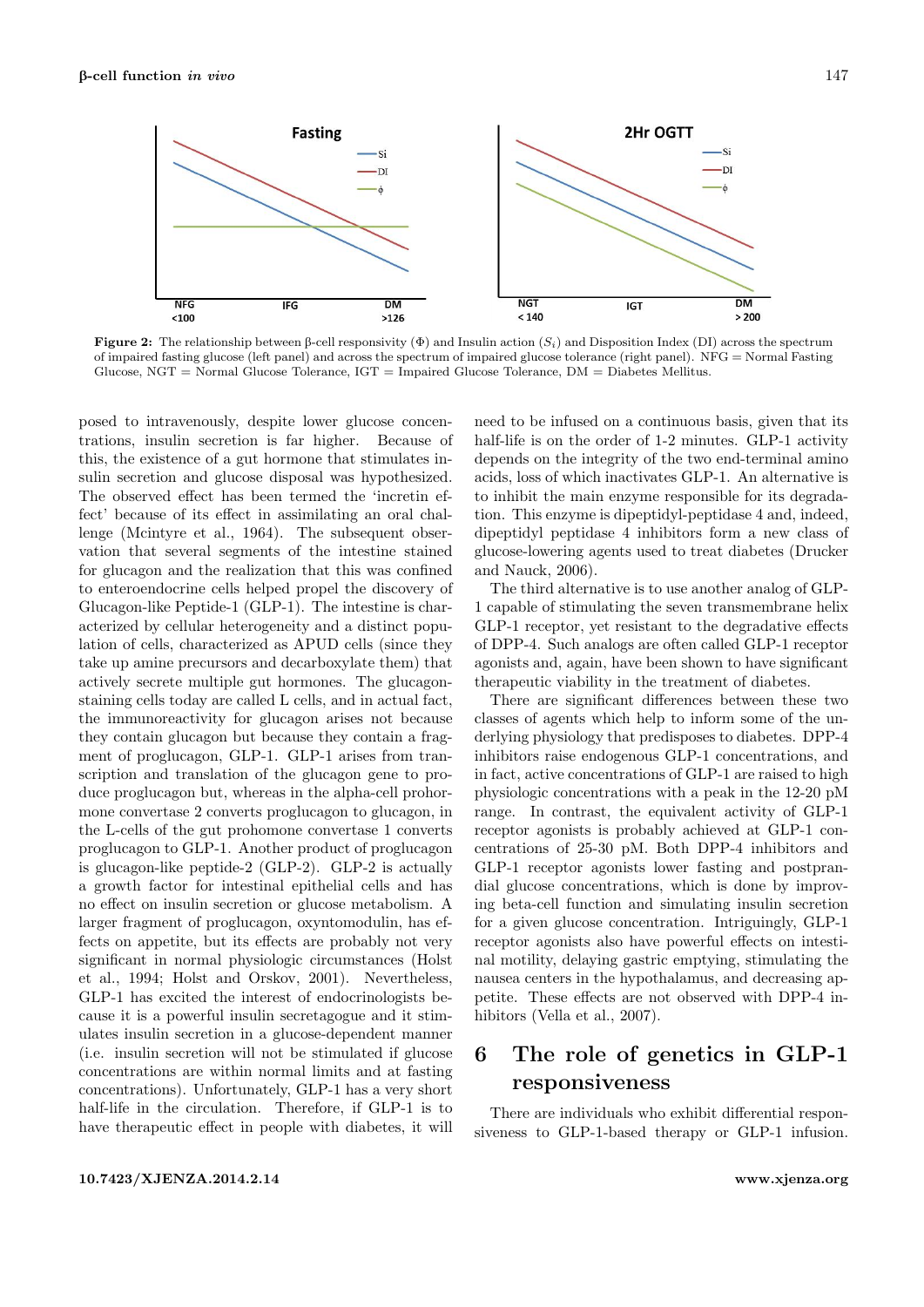

**Figure 2:** The relationship between  $\beta$ -cell responsivity  $(\Phi)$  and Insulin action  $(S_i)$  and Disposition Index (DI) across the spectrum of impaired fasting glucose (left panel) and across the spectrum of impaired glucose tolerance (right panel). NFG = Normal Fasting Glucose, NGT = Normal Glucose Tolerance, IGT = Impaired Glucose Tolerance, DM = Diabetes Mellitus.

posed to intravenously, despite lower glucose concentrations, insulin secretion is far higher. Because of this, the existence of a gut hormone that stimulates insulin secretion and glucose disposal was hypothesized. The observed effect has been termed the 'incretin effect' because of its effect in assimilating an oral challenge (Mcintyre et al., [1964\)](#page-5-14). The subsequent observation that several segments of the intestine stained for glucagon and the realization that this was confined to enteroendocrine cells helped propel the discovery of Glucagon-like Peptide-1 (GLP-1). The intestine is characterized by cellular heterogeneity and a distinct population of cells, characterized as APUD cells (since they take up amine precursors and decarboxylate them) that actively secrete multiple gut hormones. The glucagonstaining cells today are called L cells, and in actual fact, the immunoreactivity for glucagon arises not because they contain glucagon but because they contain a fragment of proglucagon, GLP-1. GLP-1 arises from transcription and translation of the glucagon gene to produce proglucagon but, whereas in the alpha-cell prohormone convertase 2 converts proglucagon to glucagon, in the L-cells of the gut prohomone convertase 1 converts proglucagon to GLP-1. Another product of proglucagon is glucagon-like peptide-2 (GLP-2). GLP-2 is actually a growth factor for intestinal epithelial cells and has no effect on insulin secretion or glucose metabolism. A larger fragment of proglucagon, oxyntomodulin, has effects on appetite, but its effects are probably not very significant in normal physiologic circumstances (Holst et al., [1994;](#page-5-15) Holst and Orskov, [2001\)](#page-5-16). Nevertheless, GLP-1 has excited the interest of endocrinologists because it is a powerful insulin secretagogue and it stimulates insulin secretion in a glucose-dependent manner (i.e. insulin secretion will not be stimulated if glucose concentrations are within normal limits and at fasting concentrations). Unfortunately, GLP-1 has a very short half-life in the circulation. Therefore, if GLP-1 is to have therapeutic effect in people with diabetes, it will need to be infused on a continuous basis, given that its half-life is on the order of 1-2 minutes. GLP-1 activity depends on the integrity of the two end-terminal amino acids, loss of which inactivates GLP-1. An alternative is to inhibit the main enzyme responsible for its degradation. This enzyme is dipeptidyl-peptidase 4 and, indeed, dipeptidyl peptidase 4 inhibitors form a new class of glucose-lowering agents used to treat diabetes (Drucker and Nauck, [2006\)](#page-5-17).

The third alternative is to use another analog of GLP-1 capable of stimulating the seven transmembrane helix GLP-1 receptor, yet resistant to the degradative effects of DPP-4. Such analogs are often called GLP-1 receptor agonists and, again, have been shown to have significant therapeutic viability in the treatment of diabetes.

There are significant differences between these two classes of agents which help to inform some of the underlying physiology that predisposes to diabetes. DPP-4 inhibitors raise endogenous GLP-1 concentrations, and in fact, active concentrations of GLP-1 are raised to high physiologic concentrations with a peak in the 12-20 pM range. In contrast, the equivalent activity of GLP-1 receptor agonists is probably achieved at GLP-1 concentrations of 25-30 pM. Both DPP-4 inhibitors and GLP-1 receptor agonists lower fasting and postprandial glucose concentrations, which is done by improving beta-cell function and simulating insulin secretion for a given glucose concentration. Intriguingly, GLP-1 receptor agonists also have powerful effects on intestinal motility, delaying gastric emptying, stimulating the nausea centers in the hypothalamus, and decreasing appetite. These effects are not observed with DPP-4 inhibitors (Vella et al., [2007\)](#page-6-2).

## 6 The role of genetics in GLP-1 responsiveness

There are individuals who exhibit differential responsiveness to GLP-1-based therapy or GLP-1 infusion.

#### <10.7423/XJENZA.2014.2.14><www.xjenza.org>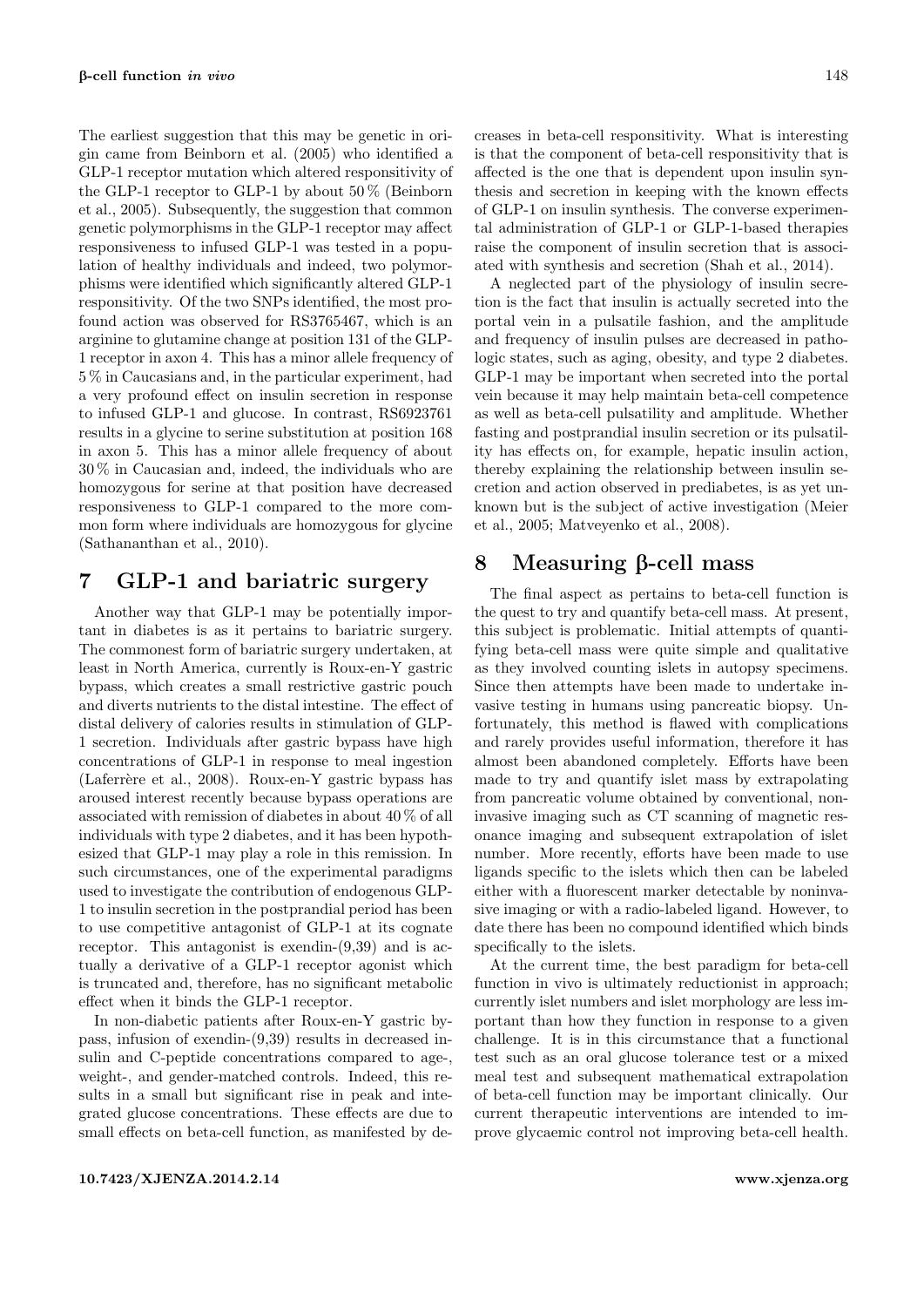The earliest suggestion that this may be genetic in origin came from Beinborn et al. [\(2005\)](#page-5-18) who identified a GLP-1 receptor mutation which altered responsitivity of the GLP-1 receptor to GLP-1 by about  $50\%$  (Beinborn et al., [2005\)](#page-5-18). Subsequently, the suggestion that common genetic polymorphisms in the GLP-1 receptor may affect responsiveness to infused GLP-1 was tested in a population of healthy individuals and indeed, two polymorphisms were identified which significantly altered GLP-1 responsitivity. Of the two SNPs identified, the most profound action was observed for RS3765467, which is an arginine to glutamine change at position 131 of the GLP-1 receptor in axon 4. This has a minor allele frequency of 5 % in Caucasians and, in the particular experiment, had a very profound effect on insulin secretion in response to infused GLP-1 and glucose. In contrast, RS6923761 results in a glycine to serine substitution at position 168 in axon 5. This has a minor allele frequency of about 30 % in Caucasian and, indeed, the individuals who are homozygous for serine at that position have decreased responsiveness to GLP-1 compared to the more common form where individuals are homozygous for glycine (Sathananthan et al., [2010\)](#page-5-19).

### 7 GLP-1 and bariatric surgery

Another way that GLP-1 may be potentially important in diabetes is as it pertains to bariatric surgery. The commonest form of bariatric surgery undertaken, at least in North America, currently is Roux-en-Y gastric bypass, which creates a small restrictive gastric pouch and diverts nutrients to the distal intestine. The effect of distal delivery of calories results in stimulation of GLP-1 secretion. Individuals after gastric bypass have high concentrations of GLP-1 in response to meal ingestion (Laferrère et al., [2008\)](#page-5-20). Roux-en-Y gastric bypass has aroused interest recently because bypass operations are associated with remission of diabetes in about 40 % of all individuals with type 2 diabetes, and it has been hypothesized that GLP-1 may play a role in this remission. In such circumstances, one of the experimental paradigms used to investigate the contribution of endogenous GLP-1 to insulin secretion in the postprandial period has been to use competitive antagonist of GLP-1 at its cognate receptor. This antagonist is exendin-(9,39) and is actually a derivative of a GLP-1 receptor agonist which is truncated and, therefore, has no significant metabolic effect when it binds the GLP-1 receptor.

In non-diabetic patients after Roux-en-Y gastric bypass, infusion of exendin-(9,39) results in decreased insulin and C-peptide concentrations compared to age-, weight-, and gender-matched controls. Indeed, this results in a small but significant rise in peak and integrated glucose concentrations. These effects are due to small effects on beta-cell function, as manifested by decreases in beta-cell responsitivity. What is interesting is that the component of beta-cell responsitivity that is affected is the one that is dependent upon insulin synthesis and secretion in keeping with the known effects of GLP-1 on insulin synthesis. The converse experimental administration of GLP-1 or GLP-1-based therapies raise the component of insulin secretion that is associated with synthesis and secretion (Shah et al., [2014\)](#page-6-3).

A neglected part of the physiology of insulin secretion is the fact that insulin is actually secreted into the portal vein in a pulsatile fashion, and the amplitude and frequency of insulin pulses are decreased in pathologic states, such as aging, obesity, and type 2 diabetes. GLP-1 may be important when secreted into the portal vein because it may help maintain beta-cell competence as well as beta-cell pulsatility and amplitude. Whether fasting and postprandial insulin secretion or its pulsatility has effects on, for example, hepatic insulin action, thereby explaining the relationship between insulin secretion and action observed in prediabetes, is as yet unknown but is the subject of active investigation (Meier et al., [2005;](#page-5-21) Matveyenko et al., [2008\)](#page-5-22).

### 8 Measuring B-cell mass

The final aspect as pertains to beta-cell function is the quest to try and quantify beta-cell mass. At present, this subject is problematic. Initial attempts of quantifying beta-cell mass were quite simple and qualitative as they involved counting islets in autopsy specimens. Since then attempts have been made to undertake invasive testing in humans using pancreatic biopsy. Unfortunately, this method is flawed with complications and rarely provides useful information, therefore it has almost been abandoned completely. Efforts have been made to try and quantify islet mass by extrapolating from pancreatic volume obtained by conventional, noninvasive imaging such as CT scanning of magnetic resonance imaging and subsequent extrapolation of islet number. More recently, efforts have been made to use ligands specific to the islets which then can be labeled either with a fluorescent marker detectable by noninvasive imaging or with a radio-labeled ligand. However, to date there has been no compound identified which binds specifically to the islets.

At the current time, the best paradigm for beta-cell function in vivo is ultimately reductionist in approach; currently islet numbers and islet morphology are less important than how they function in response to a given challenge. It is in this circumstance that a functional test such as an oral glucose tolerance test or a mixed meal test and subsequent mathematical extrapolation of beta-cell function may be important clinically. Our current therapeutic interventions are intended to improve glycaemic control not improving beta-cell health.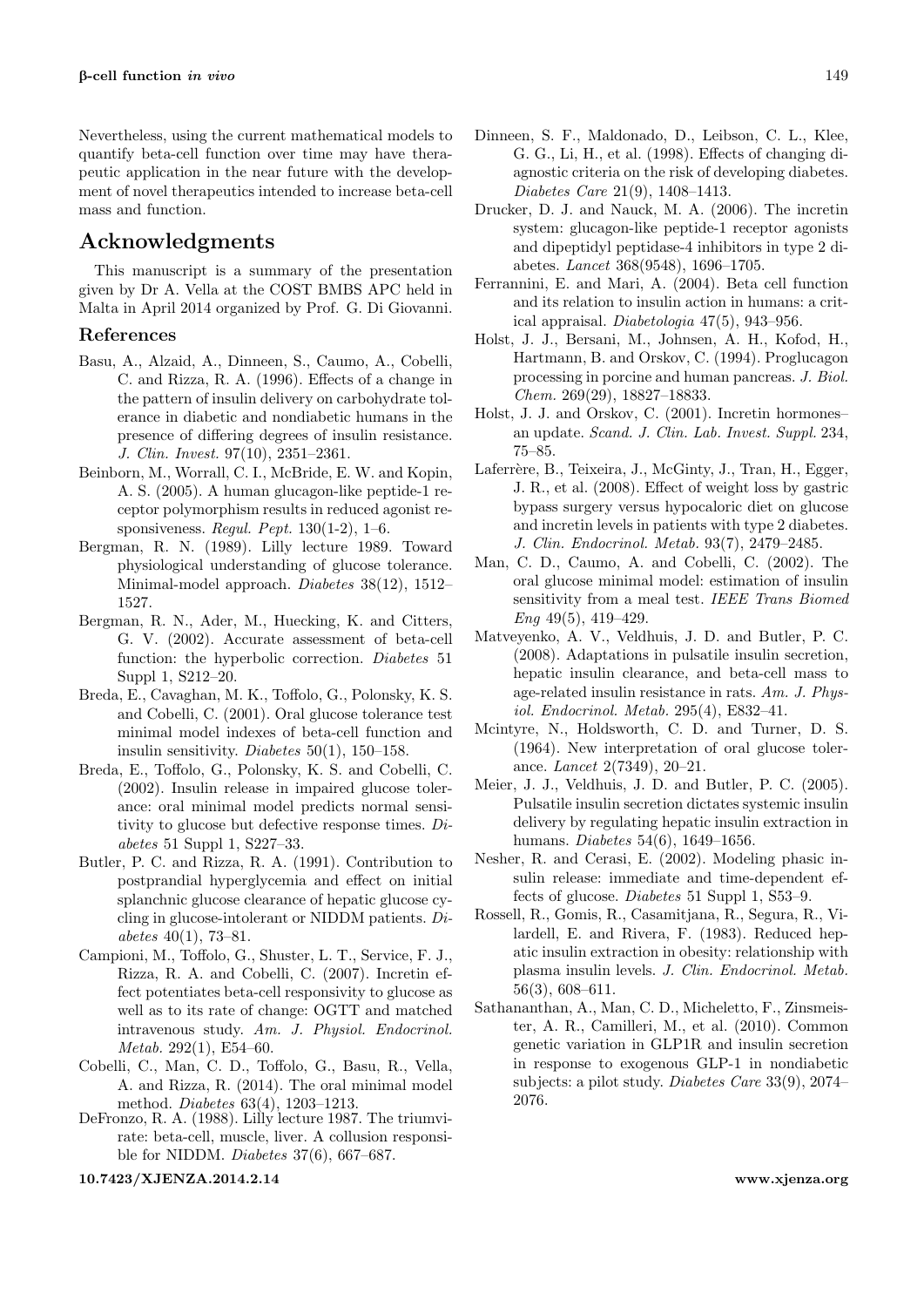Nevertheless, using the current mathematical models to quantify beta-cell function over time may have therapeutic application in the near future with the development of novel therapeutics intended to increase beta-cell mass and function.

### Acknowledgments

This manuscript is a summary of the presentation given by Dr A. Vella at the COST BMBS APC held in Malta in April 2014 organized by Prof. G. Di Giovanni.

#### References

- <span id="page-5-2"></span>Basu, A., Alzaid, A., Dinneen, S., Caumo, A., Cobelli, C. and Rizza, R. A. (1996). Effects of a change in the pattern of insulin delivery on carbohydrate tolerance in diabetic and nondiabetic humans in the presence of differing degrees of insulin resistance. J. Clin. Invest. 97(10), 2351–2361.
- <span id="page-5-18"></span>Beinborn, M., Worrall, C. I., McBride, E. W. and Kopin, A. S. (2005). A human glucagon-like peptide-1 receptor polymorphism results in reduced agonist responsiveness. Regul. Pept. 130(1-2), 1–6.
- <span id="page-5-10"></span>Bergman, R. N. (1989). Lilly lecture 1989. Toward physiological understanding of glucose tolerance. Minimal-model approach. Diabetes 38(12), 1512– 1527.
- <span id="page-5-11"></span>Bergman, R. N., Ader, M., Huecking, K. and Citters, G. V. (2002). Accurate assessment of beta-cell function: the hyperbolic correction. Diabetes 51 Suppl 1, S212–20.
- <span id="page-5-7"></span>Breda, E., Cavaghan, M. K., Toffolo, G., Polonsky, K. S. and Cobelli, C. (2001). Oral glucose tolerance test minimal model indexes of beta-cell function and insulin sensitivity. Diabetes  $50(1)$ , 150–158.
- <span id="page-5-8"></span>Breda, E., Toffolo, G., Polonsky, K. S. and Cobelli, C. (2002). Insulin release in impaired glucose tolerance: oral minimal model predicts normal sensitivity to glucose but defective response times. Diabetes 51 Suppl 1, S227–33.
- <span id="page-5-1"></span>Butler, P. C. and Rizza, R. A. (1991). Contribution to postprandial hyperglycemia and effect on initial splanchnic glucose clearance of hepatic glucose cycling in glucose-intolerant or NIDDM patients. Diabetes 40(1), 73–81.
- <span id="page-5-13"></span>Campioni, M., Toffolo, G., Shuster, L. T., Service, F. J., Rizza, R. A. and Cobelli, C. (2007). Incretin effect potentiates beta-cell responsivity to glucose as well as to its rate of change: OGTT and matched intravenous study. Am. J. Physiol. Endocrinol. Metab. 292(1), E54–60.
- <span id="page-5-5"></span>Cobelli, C., Man, C. D., Toffolo, G., Basu, R., Vella, A. and Rizza, R. (2014). The oral minimal model method. Diabetes 63(4), 1203–1213.
- <span id="page-5-3"></span>DeFronzo, R. A. (1988). Lilly lecture 1987. The triumvirate: beta-cell, muscle, liver. A collusion responsible for NIDDM. Diabetes 37(6), 667–687.

<10.7423/XJENZA.2014.2.14><www.xjenza.org>

- <span id="page-5-0"></span>Dinneen, S. F., Maldonado, D., Leibson, C. L., Klee, G. G., Li, H., et al. (1998). Effects of changing diagnostic criteria on the risk of developing diabetes. Diabetes Care 21(9), 1408–1413.
- <span id="page-5-17"></span>Drucker, D. J. and Nauck, M. A. (2006). The incretin system: glucagon-like peptide-1 receptor agonists and dipeptidyl peptidase-4 inhibitors in type 2 diabetes. Lancet 368(9548), 1696–1705.
- <span id="page-5-12"></span>Ferrannini, E. and Mari, A. (2004). Beta cell function and its relation to insulin action in humans: a critical appraisal. Diabetologia 47(5), 943–956.
- <span id="page-5-15"></span>Holst, J. J., Bersani, M., Johnsen, A. H., Kofod, H., Hartmann, B. and Orskov, C. (1994). Proglucagon processing in porcine and human pancreas. J. Biol. Chem. 269(29), 18827–18833.
- <span id="page-5-16"></span>Holst, J. J. and Orskov, C. (2001). Incretin hormones– an update. Scand. J. Clin. Lab. Invest. Suppl. 234, 75–85.
- <span id="page-5-20"></span>Laferrère, B., Teixeira, J., McGinty, J., Tran, H., Egger, J. R., et al. (2008). Effect of weight loss by gastric bypass surgery versus hypocaloric diet on glucose and incretin levels in patients with type 2 diabetes. J. Clin. Endocrinol. Metab. 93(7), 2479–2485.
- <span id="page-5-9"></span>Man, C. D., Caumo, A. and Cobelli, C. (2002). The oral glucose minimal model: estimation of insulin sensitivity from a meal test. IEEE Trans Biomed Eng 49(5), 419–429.
- <span id="page-5-22"></span>Matveyenko, A. V., Veldhuis, J. D. and Butler, P. C. (2008). Adaptations in pulsatile insulin secretion, hepatic insulin clearance, and beta-cell mass to age-related insulin resistance in rats. Am. J. Physiol. Endocrinol. Metab. 295(4), E832–41.
- <span id="page-5-14"></span>Mcintyre, N., Holdsworth, C. D. and Turner, D. S. (1964). New interpretation of oral glucose tolerance. Lancet 2(7349), 20–21.
- <span id="page-5-21"></span>Meier, J. J., Veldhuis, J. D. and Butler, P. C. (2005). Pulsatile insulin secretion dictates systemic insulin delivery by regulating hepatic insulin extraction in humans. Diabetes 54(6), 1649–1656.
- <span id="page-5-6"></span>Nesher, R. and Cerasi, E. (2002). Modeling phasic insulin release: immediate and time-dependent effects of glucose. Diabetes 51 Suppl 1, S53–9.
- <span id="page-5-4"></span>Rossell, R., Gomis, R., Casamitjana, R., Segura, R., Vilardell, E. and Rivera, F. (1983). Reduced hepatic insulin extraction in obesity: relationship with plasma insulin levels. J. Clin. Endocrinol. Metab. 56(3), 608–611.
- <span id="page-5-19"></span>Sathananthan, A., Man, C. D., Micheletto, F., Zinsmeister, A. R., Camilleri, M., et al. (2010). Common genetic variation in GLP1R and insulin secretion in response to exogenous GLP-1 in nondiabetic subjects: a pilot study. Diabetes Care 33(9), 2074– 2076.